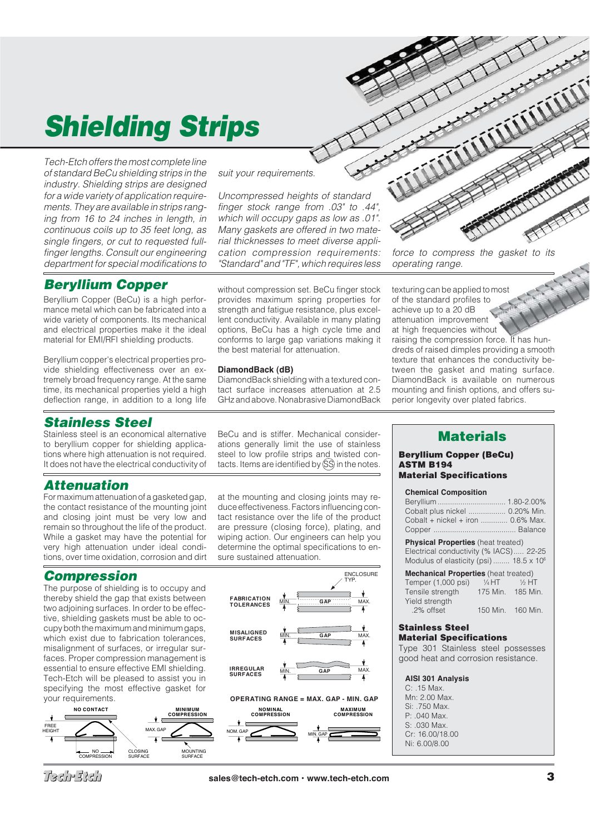# *Shielding Strips*

Tech-Etch offers the most complete line of standard BeCu shielding strips in the industry. Shielding strips are designed for a wide variety of application requirements. They are available in strips ranging from 16 to 24 inches in length, in continuous coils up to 35 feet long, as single fingers, or cut to requested fullfinger lengths. Consult our engineering department for special modifications to

## **Beryllium Copper** without compression set. BeCu finger stock

Beryllium Copper (BeCu) is a high performance metal which can be fabricated into a wide variety of components. Its mechanical and electrical properties make it the ideal material for EMI/RFI shielding products.

Beryllium copper's electrical properties provide shielding effectiveness over an extremely broad frequency range. At the same time, its mechanical properties yield a high deflection range, in addition to a long life

#### *Stainless Steel*

Stainless steel is an economical alternative to beryllium copper for shielding applications where high attenuation is not required. It does not have the electrical conductivity of

#### *Attenuation*

For maximum attenuation of a gasketed gap, the contact resistance of the mounting joint and closing joint must be very low and remain so throughout the life of the product. While a gasket may have the potential for very high attenuation under ideal conditions, over time oxidation, corrosion and dirt

### *Compression*

The purpose of shielding is to occupy and thereby shield the gap that exists between two adjoining surfaces. In order to be effective, shielding gaskets must be able to occupy both the maximum and minimum gaps, which exist due to fabrication tolerances. misalignment of surfaces, or irregular surfaces. Proper compression management is essential to ensure effective EMI shielding. Tech-Etch will be pleased to assist you in specifying the most effective gasket for your requirements.



suit your requirements.

Uncompressed heights of standard finger stock range from .03" to .44", which will occupy gaps as low as .01". Many gaskets are offered in two material thicknesses to meet diverse application compression requirements: "Standard" and "TF", which requires less

provides maximum spring properties for strength and fatigue resistance, plus excellent conductivity. Available in many plating options, BeCu has a high cycle time and conforms to large gap variations making it the best material for attenuation.

#### **DiamondBack (dB)**

DiamondBack shielding with a textured contact surface increases attenuation at 2.5 GHz and above. Nonabrasive DiamondBack

BeCu and is stiffer. Mechanical considerations generally limit the use of stainless steel to low profile strips and twisted contacts. Items are identified by  $(S\hat{S})$  in the notes.

at the mounting and closing joints may reduce effectiveness. Factors influencing contact resistance over the life of the product are pressure (closing force), plating, and wiping action. Our engineers can help you determine the optimal specifications to ensure sustained attenuation.



force to compress the gasket to its operating range.

texturing can be applied to most of the standard profiles to achieve up to a 20 dB attenuation improvement at high frequencies without raising the compression force. It has hundreds of raised dimples providing a smooth texture that enhances the conductivity between the gasket and mating surface. DiamondBack is available on numerous mounting and finish options, and offers superior longevity over plated fabrics.

### *Materials*

#### *Beryllium Copper (BeCu) ASTM B194 Material Specifications*

#### **Chemical Composition**

| Cobalt plus nickel  0.20% Min.                                                                                                                                                      |                   |
|-------------------------------------------------------------------------------------------------------------------------------------------------------------------------------------|-------------------|
| Cobalt + nickel + iron  0.6% Max.                                                                                                                                                   |                   |
| <b>Physical Properties</b> (heat treated)<br>Electrical conductivity (% IACS) 22-25<br>Modulus of elasticity (psi) 18.5 x 10 <sup>6</sup>                                           |                   |
| <b>Mechanical Properties</b> (heat treated)<br>Temper $(1,000 \text{ psi})$ $\frac{1}{4}$ HT $\frac{1}{2}$ HT<br>Tensile strength 175 Min. 185 Min.<br>Yield strength<br>.2% offset | 150 Min. 160 Min. |
| <b>Stainless Steel</b><br><b>Material Specifications</b><br>Type 301 Stainless steel possesses<br>good heat and corrosion resistance.                                               |                   |
| <b>AISI 301 Analysis</b><br>$C: .15$ Max.                                                                                                                                           |                   |

- Mn: 2.00 Max. Si: .750 Max. P: .040 Max.  $S: 030$  Max.
- Cr: 16.00/18.00
- Ni: 6.00/8.00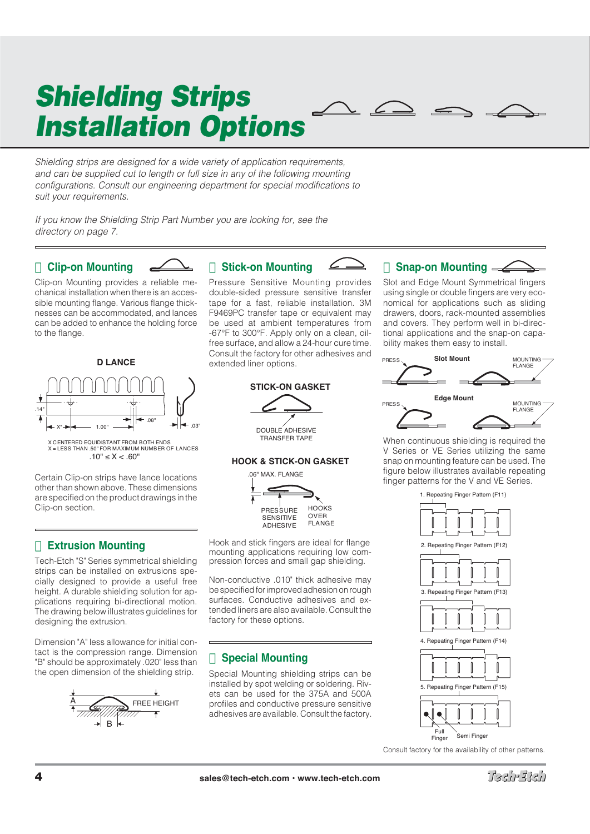# *Shielding Strips Installation Options*

Shielding strips are designed for a wide variety of application requirements, and can be supplied cut to length or full size in any of the following mounting configurations. Consult our engineering department for special modifications to suit your requirements.

If you know the Shielding Strip Part Number you are looking for, see the directory on page 7.

#### **Clip-on Mounting**



Clip-on Mounting provides a reliable mechanical installation when there is an accessible mounting flange. Various flange thicknesses can be accommodated, and lances can be added to enhance the holding force to the flange.



Certain Clip-on strips have lance locations other than shown above. These dimensions are specified on the product drawings in the Clip-on section.

### **Extrusion Mounting**

Tech-Etch "S" Series symmetrical shielding strips can be installed on extrusions specially designed to provide a useful free height. A durable shielding solution for applications requiring bi-directional motion. The drawing below illustrates guidelines for designing the extrusion.

Dimension "A" less allowance for initial contact is the compression range. Dimension "B" should be approximately .020" less than the open dimension of the shielding strip.



## **Stick-on Mounting**

Pressure Sensitive Mounting provides double-sided pressure sensitive transfer tape for a fast, reliable installation. 3M F9469PC transfer tape or equivalent may be used at ambient temperatures from -67°F to 300°F. Apply only on a clean, oilfree surface, and allow a 24-hour cure time. Consult the factory for other adhesives and extended liner options.

#### **STICK-ON GASKET**



TRANSFER TAPE

#### **HOOK & STICK-ON GASKET**



Hook and stick fingers are ideal for flange mounting applications requiring low compression forces and small gap shielding.

Non-conductive .010" thick adhesive may be specified for improved adhesion on rough surfaces. Conductive adhesives and extended liners are also available. Consult the factory for these options.

### **Special Mounting**

Special Mounting shielding strips can be installed by spot welding or soldering. Rivets can be used for the 375A and 500A profiles and conductive pressure sensitive adhesives are available. Consult the factory.

#### **Snap-on Mounting**

Slot and Edge Mount Symmetrical fingers using single or double fingers are very economical for applications such as sliding drawers, doors, rack-mounted assemblies and covers. They perform well in bi-directional applications and the snap-on capability makes them easy to install.



When continuous shielding is required the V Series or VE Series utilizing the same snap on mounting feature can be used. The figure below illustrates available repeating finger patterns for the V and VE Series.



Consult factory for the availability of other patterns.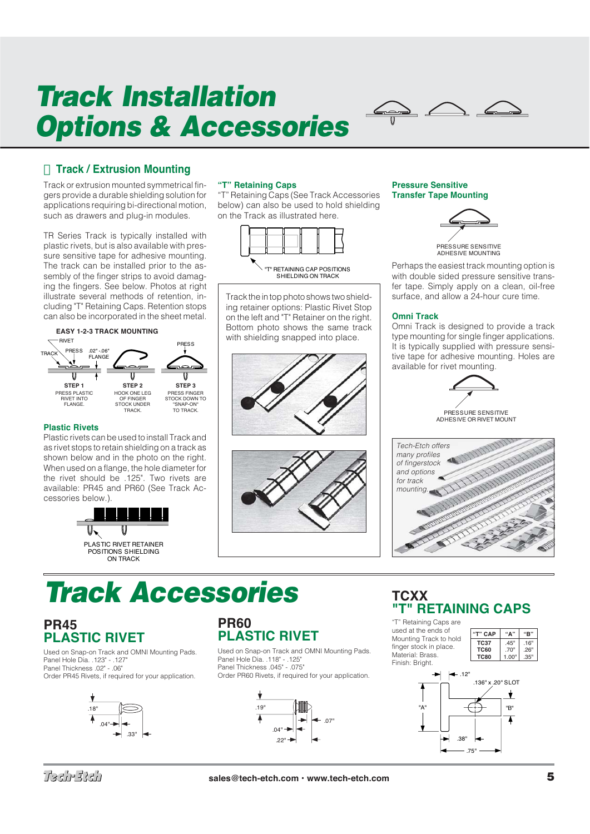# *Track Installation Options & Accessories*



### **Track / Extrusion Mounting**

Track or extrusion mounted symmetrical fingers provide a durable shielding solution for applications requiring bi-directional motion, such as drawers and plug-in modules.

TR Series Track is typically installed with plastic rivets, but is also available with pressure sensitive tape for adhesive mounting. The track can be installed prior to the assembly of the finger strips to avoid damaging the fingers. See below. Photos at right illustrate several methods of retention, including "T" Retaining Caps. Retention stops can also be incorporated in the sheet metal.

#### **EASY 1-2-3 TRACK MOUNTING**



#### **Plastic Rivets**

Plastic rivets can be used to install Track and as rivet stops to retain shielding on a track as shown below and in the photo on the right. When used on a flange, the hole diameter for the rivet should be .125". Two rivets are available: PR45 and PR60 (See Track Accessories below.).



#### **"T" Retaining Caps**

"T" Retaining Caps (See Track Accessories below) can also be used to hold shielding on the Track as illustrated here.





Track the in top photo shows two shielding retainer options: Plastic Rivet Stop on the left and "T" Retainer on the right. Bottom photo shows the same track with shielding snapped into place.





#### **Pressure Sensitive Transfer Tape Mounting**



Perhaps the easiest track mounting option is with double sided pressure sensitive transfer tape. Simply apply on a clean, oil-free surface, and allow a 24-hour cure time.

#### **Omni Track**

Omni Track is designed to provide a track type mounting for single finger applications. It is typically supplied with pressure sensitive tape for adhesive mounting. Holes are available for rivet mounting.



PRESSURE SENSITIVE ADHESIVE OR RIVET MOUNT



## *Track Accessories*

## **PR45 PLASTIC RIVET**

Used on Snap-on Track and OMNI Mounting Pads. Panel Hole Dia . 123" - 127" Panel Thickness .02" - .06" Order PR45 Rivets, if required for your application.



#### **PR60 PLASTIC RIVET**

Used on Snap-on Track and OMNI Mounting Pads. Panel Hole Dia. .118" - .125" Panel Thickness .045" - .075" Order PR60 Rivets, if required for your application.



## **TCXX "T" RETAINING CAPS**

"T" Retaining Caps are used at the ends of **"T" CAP "A" "B"** Mounting Track to hold **TC37** .45" .16" finger stock in place. <sup>70"</sup> ...<br>"1.00" .35 Material: Brass. **TC80** 1.00" .35" Finish: Bright.  $-12"$ .136" x .20" SLOT ÷ "B" "A" Ā .38" .75"